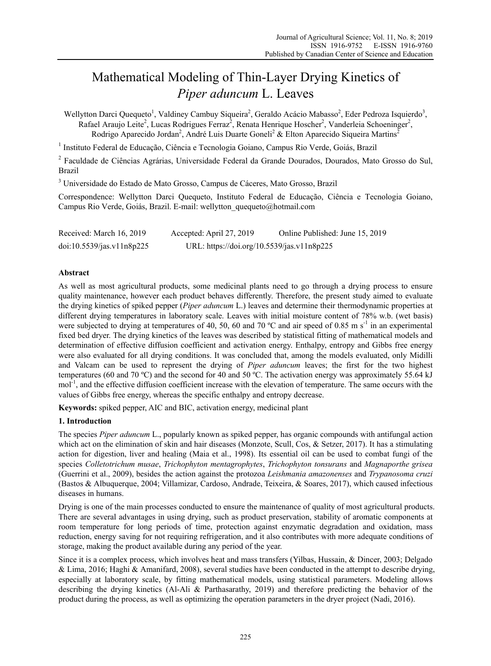# Mathematical Modeling of Thin-Layer Drying Kinetics of *Piper aduncum* L. Leaves

Wellytton Darci Quequeto<sup>1</sup>, Valdiney Cambuy Siqueira<sup>2</sup>, Geraldo Acácio Mabasso<sup>2</sup>, Eder Pedroza Isquierdo<sup>3</sup>, Rafael Araujo Leite<sup>2</sup>, Lucas Rodrigues Ferraz<sup>2</sup>, Renata Henrique Hoscher<sup>2</sup>, Vanderleia Schoeninger<sup>2</sup>, Rodrigo Aparecido Jordan<sup>2</sup>, André Luis Duarte Goneli<sup>2</sup> & Elton Aparecido Siqueira Martins<sup>2</sup>

<sup>1</sup> Instituto Federal de Educação, Ciência e Tecnologia Goiano, Campus Rio Verde, Goiás, Brazil

<sup>2</sup> Faculdade de Ciências Agrárias, Universidade Federal da Grande Dourados, Dourados, Mato Grosso do Sul, Brazil

<sup>3</sup> Universidade do Estado de Mato Grosso, Campus de Cáceres, Mato Grosso, Brazil

Correspondence: Wellytton Darci Quequeto, Instituto Federal de Educação, Ciência e Tecnologia Goiano, Campus Rio Verde, Goiás, Brazil. E-mail: wellytton\_quequeto@hotmail.com

| Received: March 16, 2019  | Accepted: April 27, 2019                   | Online Published: June 15, 2019 |
|---------------------------|--------------------------------------------|---------------------------------|
| doi:10.5539/jas.v11n8p225 | URL: https://doi.org/10.5539/jas.v11n8p225 |                                 |

## **Abstract**

As well as most agricultural products, some medicinal plants need to go through a drying process to ensure quality maintenance, however each product behaves differently. Therefore, the present study aimed to evaluate the drying kinetics of spiked pepper (*Piper aduncum* L.) leaves and determine their thermodynamic properties at different drying temperatures in laboratory scale. Leaves with initial moisture content of 78% w.b. (wet basis) were subjected to drying at temperatures of 40, 50, 60 and 70 °C and air speed of 0.85 m s<sup>-1</sup> in an experimental fixed bed dryer. The drying kinetics of the leaves was described by statistical fitting of mathematical models and determination of effective diffusion coefficient and activation energy. Enthalpy, entropy and Gibbs free energy were also evaluated for all drying conditions. It was concluded that, among the models evaluated, only Midilli and Valcam can be used to represent the drying of *Piper aduncum* leaves; the first for the two highest temperatures (60 and 70 ºC) and the second for 40 and 50 ºC. The activation energy was approximately 55.64 kJ mol<sup>-1</sup>, and the effective diffusion coefficient increase with the elevation of temperature. The same occurs with the values of Gibbs free energy, whereas the specific enthalpy and entropy decrease.

**Keywords:** spiked pepper, AIC and BIC, activation energy, medicinal plant

# **1. Introduction**

The species *Piper aduncum* L., popularly known as spiked pepper, has organic compounds with antifungal action which act on the elimination of skin and hair diseases (Monzote, Scull, Cos, & Setzer, 2017). It has a stimulating action for digestion, liver and healing (Maia et al., 1998). Its essential oil can be used to combat fungi of the species *Colletotrichum musae*, *Trichophyton mentagrophytes*, *Trichophyton tonsurans* and *Magnaporthe grisea* (Guerrini et al., 2009), besides the action against the protozoa *Leishmania amazonenses* and *Trypanosoma cruzi* (Bastos & Albuquerque, 2004; Villamizar, Cardoso, Andrade, Teixeira, & Soares, 2017), which caused infectious diseases in humans.

Drying is one of the main processes conducted to ensure the maintenance of quality of most agricultural products. There are several advantages in using drying, such as product preservation, stability of aromatic components at room temperature for long periods of time, protection against enzymatic degradation and oxidation, mass reduction, energy saving for not requiring refrigeration, and it also contributes with more adequate conditions of storage, making the product available during any period of the year.

Since it is a complex process, which involves heat and mass transfers (Yilbas, Hussain, & Dincer, 2003; Delgado & Lima, 2016; Haghi & Amanifard, 2008), several studies have been conducted in the attempt to describe drying, especially at laboratory scale, by fitting mathematical models, using statistical parameters. Modeling allows describing the drying kinetics (Al-Ali & Parthasarathy, 2019) and therefore predicting the behavior of the product during the process, as well as optimizing the operation parameters in the dryer project (Nadi, 2016).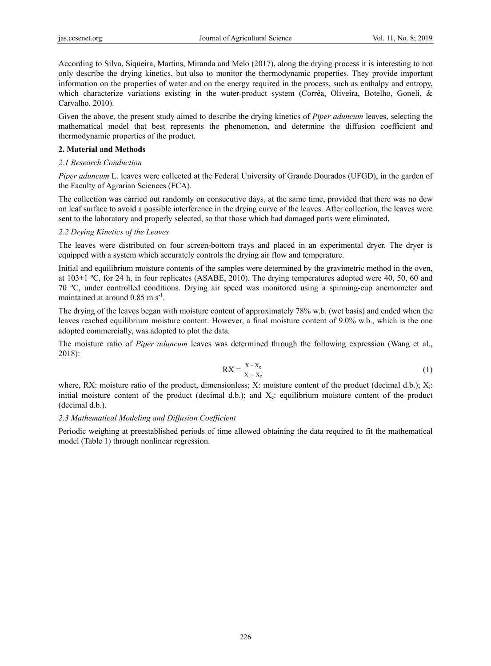According to Silva, Siqueira, Martins, Miranda and Melo (2017), along the drying process it is interesting to not only describe the drying kinetics, but also to monitor the thermodynamic properties. They provide important information on the properties of water and on the energy required in the process, such as enthalpy and entropy, which characterize variations existing in the water-product system (Corrêa, Oliveira, Botelho, Goneli, & Carvalho, 2010).

Given the above, the present study aimed to describe the drying kinetics of *Piper aduncum* leaves, selecting the mathematical model that best represents the phenomenon, and determine the diffusion coefficient and thermodynamic properties of the product.

## **2. Material and Methods**

# *2.1 Research Conduction*

*Piper aduncum* L. leaves were collected at the Federal University of Grande Dourados (UFGD), in the garden of the Faculty of Agrarian Sciences (FCA).

The collection was carried out randomly on consecutive days, at the same time, provided that there was no dew on leaf surface to avoid a possible interference in the drying curve of the leaves. After collection, the leaves were sent to the laboratory and properly selected, so that those which had damaged parts were eliminated.

# *2.2 Drying Kinetics of the Leaves*

The leaves were distributed on four screen-bottom trays and placed in an experimental dryer. The dryer is equipped with a system which accurately controls the drying air flow and temperature.

Initial and equilibrium moisture contents of the samples were determined by the gravimetric method in the oven, at 103±1 ºC, for 24 h, in four replicates (ASABE, 2010). The drying temperatures adopted were 40, 50, 60 and 70 ºC, under controlled conditions. Drying air speed was monitored using a spinning-cup anemometer and maintained at around  $0.85 \text{ m s}^{-1}$ .

The drying of the leaves began with moisture content of approximately 78% w.b. (wet basis) and ended when the leaves reached equilibrium moisture content. However, a final moisture content of 9.0% w.b., which is the one adopted commercially, was adopted to plot the data.

The moisture ratio of *Piper aduncum* leaves was determined through the following expression (Wang et al., 2018):

$$
RX = \frac{X - X_e}{X_i - X_e} \tag{1}
$$

where, RX: moisture ratio of the product, dimensionless; X: moisture content of the product (decimal d.b.);  $X_i$ : initial moisture content of the product (decimal d.b.); and  $X<sub>e</sub>$ : equilibrium moisture content of the product (decimal d.b.).

#### *2.3 Mathematical Modeling and Diffusion Coefficient*

Periodic weighing at preestablished periods of time allowed obtaining the data required to fit the mathematical model (Table 1) through nonlinear regression.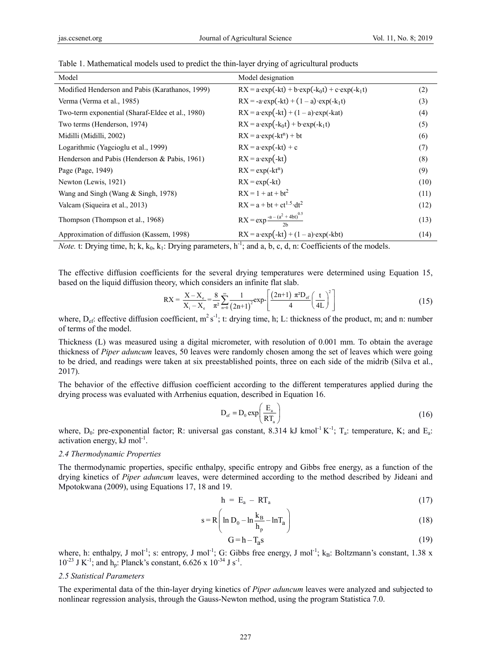| Model                                            | Model designation                                                 |      |
|--------------------------------------------------|-------------------------------------------------------------------|------|
| Modified Henderson and Pabis (Karathanos, 1999)  | $RX = a \cdot exp(-kt) + b \cdot exp(-k_0t) + c \cdot exp(-k_1t)$ | (2)  |
| Verma (Verma et al., 1985)                       | $RX = -a \exp(-kt) + (1 - a) \exp(-k_1t)$                         | (3)  |
| Two-term exponential (Sharaf-Eldee et al., 1980) | $RX = a \cdot exp(-kt) + (1 - a) \cdot exp(-kat)$                 | (4)  |
| Two terms (Henderson, 1974)                      | $RX = a \cdot exp(-k_0t) + b \cdot exp(-k_1t)$                    | (5)  |
| Midilli (Midilli, 2002)                          | $RX = a \cdot exp(-kt^n) + bt$                                    | (6)  |
| Logarithmic (Yagcioglu et al., 1999)             | $RX = a \cdot exp(-kt) + c$                                       | (7)  |
| Henderson and Pabis (Henderson & Pabis, 1961)    | $RX = a \cdot exp(-kt)$                                           | (8)  |
| Page (Page, 1949)                                | $RX = exp(-kt^n)$                                                 | (9)  |
| Newton (Lewis, 1921)                             | $RX = exp(-kt)$                                                   | (10) |
| Wang and Singh (Wang & Singh, 1978)              | $RX = 1 + at + bt^2$                                              | (11) |
| Valcam (Siqueira et al., 2013)                   | $RX = a + bt + ct^{1.5} \cdot dt^2$                               | (12) |
| Thompson (Thompson et al., 1968)                 | RX = exp $\frac{-a - (a^2 + 4bt)^{0.5}}{2b}$                      | (13) |
| Approximation of diffusion (Kassem, 1998)        | $RX = a \cdot exp(-kt) + (1 - a) \cdot exp(-kt)$                  | (14) |

Table 1. Mathematical models used to predict the thin-layer drying of agricultural products

*Note.* t: Drying time, h; k,  $k_0$ ,  $k_1$ : Drying parameters,  $h^{-1}$ ; and a, b, c, d, n: Coefficients of the models.

The effective diffusion coefficients for the several drying temperatures were determined using Equation 15, based on the liquid diffusion theory, which considers an infinite flat slab.

$$
RX = \frac{X - X_c}{X_i - X_c} = \frac{8}{\pi^2} \sum_{n=0}^{\infty} \frac{1}{(2n+1)^2} exp\left[\frac{(2n+1)\pi^2 D_{\text{ef}}}{4}\left(\frac{t}{4L}\right)^2\right]
$$
(15)

where,  $D_{\text{ef}}$ : effective diffusion coefficient,  $m^2 s^{-1}$ ; t: drying time, h; L: thickness of the product, m; and n: number of terms of the model.

Thickness (L) was measured using a digital micrometer, with resolution of 0.001 mm. To obtain the average thickness of *Piper aduncum* leaves, 50 leaves were randomly chosen among the set of leaves which were going to be dried, and readings were taken at six preestablished points, three on each side of the midrib (Silva et al., 2017).

The behavior of the effective diffusion coefficient according to the different temperatures applied during the drying process was evaluated with Arrhenius equation, described in Equation 16.

$$
D_{\rm ef} = D_0 \exp\left(\frac{E_a}{RT_a}\right) \tag{16}
$$

where,  $D_0$ : pre-exponential factor; R: universal gas constant, 8.314 kJ kmol<sup>-1</sup> K<sup>-1</sup>; T<sub>a</sub>: temperature, K; and E<sub>a</sub>: activation energy,  $kJ \text{ mol}^{-1}$ .

#### *2.4 Thermodynamic Properties*

The thermodynamic properties, specific enthalpy, specific entropy and Gibbs free energy, as a function of the drying kinetics of *Piper aduncum* leaves, were determined according to the method described by Jideani and Mpotokwana (2009), using Equations 17, 18 and 19.

$$
h = E_a - RT_a \tag{17}
$$

$$
s = R \left( \ln D_0 - \ln \frac{k_B}{h_p} - \ln T_a \right)
$$
 (18)

$$
G = h - Tas
$$
 (19)

where, h: enthalpy, J mol<sup>-1</sup>; s: entropy, J mol<sup>-1</sup>; G: Gibbs free energy, J mol<sup>-1</sup>; k<sub>B</sub>: Boltzmann's constant, 1.38 x  $10^{-23}$  J K<sup>-1</sup>; and h<sub>p</sub>: Planck's constant,  $6.626 \times 10^{-34}$  J s<sup>-1</sup>.

#### *2.5 Statistical Parameters*

The experimental data of the thin-layer drying kinetics of *Piper aduncum* leaves were analyzed and subjected to nonlinear regression analysis, through the Gauss-Newton method, using the program Statistica 7.0.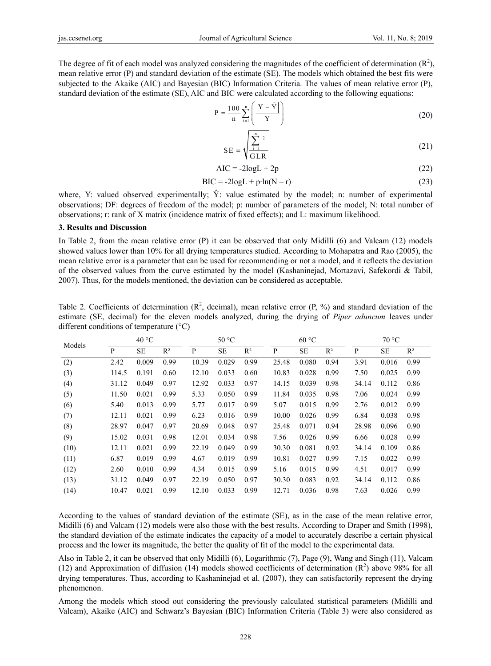The degree of fit of each model was analyzed considering the magnitudes of the coefficient of determination  $(R^2)$ , mean relative error (P) and standard deviation of the estimate (SE). The models which obtained the best fits were subjected to the Akaike (AIC) and Bayesian (BIC) Information Criteria. The values of mean relative error (P), standard deviation of the estimate (SE), AIC and BIC were calculated according to the following equations:

$$
P = \frac{100}{n} \sum_{i=1}^{n} \left( \frac{|Y - \hat{Y}|}{Y} \right)
$$
 (20)

$$
SE = \sqrt{\sum_{i=1}^{n} \frac{2}{GLR}}
$$
 (21)

$$
AIC = -2logL + 2p \tag{22}
$$

$$
BIC = -2logL + p \cdot ln(N - r) \tag{23}
$$

where, Y: valued observed experimentally;  $\hat{Y}$ : value estimated by the model; n: number of experimental observations; DF: degrees of freedom of the model; p: number of parameters of the model; N: total number of observations; r: rank of X matrix (incidence matrix of fixed effects); and L: maximum likelihood.

#### **3. Results and Discussion**

In Table 2, from the mean relative error (P) it can be observed that only Midilli (6) and Valcam (12) models showed values lower than 10% for all drying temperatures studied. According to Mohapatra and Rao (2005), the mean relative error is a parameter that can be used for recommending or not a model, and it reflects the deviation of the observed values from the curve estimated by the model (Kashaninejad, Mortazavi, Safekordi & Tabil, 2007). Thus, for the models mentioned, the deviation can be considered as acceptable.

Table 2. Coefficients of determination  $(R^2$ , decimal), mean relative error  $(P, \%)$  and standard deviation of the estimate (SE, decimal) for the eleven models analyzed, during the drying of *Piper aduncum* leaves under different conditions of temperature (°C)

| Models | $40^{\circ}$ C |           | 50 °C |       | 60 °C     |       |       | 70 °C     |       |       |           |       |
|--------|----------------|-----------|-------|-------|-----------|-------|-------|-----------|-------|-------|-----------|-------|
|        | P              | <b>SE</b> | $R^2$ | P     | <b>SE</b> | $R^2$ | P     | <b>SE</b> | $R^2$ | P     | <b>SE</b> | $R^2$ |
| (2)    | 2.42           | 0.009     | 0.99  | 10.39 | 0.029     | 0.99  | 25.48 | 0.080     | 0.94  | 3.91  | 0.016     | 0.99  |
| (3)    | 114.5          | 0.191     | 0.60  | 12.10 | 0.033     | 0.60  | 10.83 | 0.028     | 0.99  | 7.50  | 0.025     | 0.99  |
| (4)    | 31.12          | 0.049     | 0.97  | 12.92 | 0.033     | 0.97  | 14.15 | 0.039     | 0.98  | 34.14 | 0.112     | 0.86  |
| (5)    | 11.50          | 0.021     | 0.99  | 5.33  | 0.050     | 0.99  | 11.84 | 0.035     | 0.98  | 7.06  | 0.024     | 0.99  |
| (6)    | 5.40           | 0.013     | 0.99  | 5.77  | 0.017     | 0.99  | 5.07  | 0.015     | 0.99  | 2.76  | 0.012     | 0.99  |
| (7)    | 12.11          | 0.021     | 0.99  | 6.23  | 0.016     | 0.99  | 10.00 | 0.026     | 0.99  | 6.84  | 0.038     | 0.98  |
| (8)    | 28.97          | 0.047     | 0.97  | 20.69 | 0.048     | 0.97  | 25.48 | 0.071     | 0.94  | 28.98 | 0.096     | 0.90  |
| (9)    | 15.02          | 0.031     | 0.98  | 12.01 | 0.034     | 0.98  | 7.56  | 0.026     | 0.99  | 6.66  | 0.028     | 0.99  |
| (10)   | 12.11          | 0.021     | 0.99  | 22.19 | 0.049     | 0.99  | 30.30 | 0.081     | 0.92  | 34.14 | 0.109     | 0.86  |
| (11)   | 6.87           | 0.019     | 0.99  | 4.67  | 0.019     | 0.99  | 10.81 | 0.027     | 0.99  | 7.15  | 0.022     | 0.99  |
| (12)   | 2.60           | 0.010     | 0.99  | 4.34  | 0.015     | 0.99  | 5.16  | 0.015     | 0.99  | 4.51  | 0.017     | 0.99  |
| (13)   | 31.12          | 0.049     | 0.97  | 22.19 | 0.050     | 0.97  | 30.30 | 0.083     | 0.92  | 34.14 | 0.112     | 0.86  |
| (14)   | 10.47          | 0.021     | 0.99  | 12.10 | 0.033     | 0.99  | 12.71 | 0.036     | 0.98  | 7.63  | 0.026     | 0.99  |

According to the values of standard deviation of the estimate (SE), as in the case of the mean relative error, Midilli (6) and Valcam (12) models were also those with the best results. According to Draper and Smith (1998), the standard deviation of the estimate indicates the capacity of a model to accurately describe a certain physical process and the lower its magnitude, the better the quality of fit of the model to the experimental data.

Also in Table 2, it can be observed that only Midilli (6), Logarithmic (7), Page (9), Wang and Singh (11), Valcam (12) and Approximation of diffusion (14) models showed coefficients of determination  $(R^2)$  above 98% for all drying temperatures. Thus, according to Kashaninejad et al. (2007), they can satisfactorily represent the drying phenomenon.

Among the models which stood out considering the previously calculated statistical parameters (Midilli and Valcam), Akaike (AIC) and Schwarz's Bayesian (BIC) Information Criteria (Table 3) were also considered as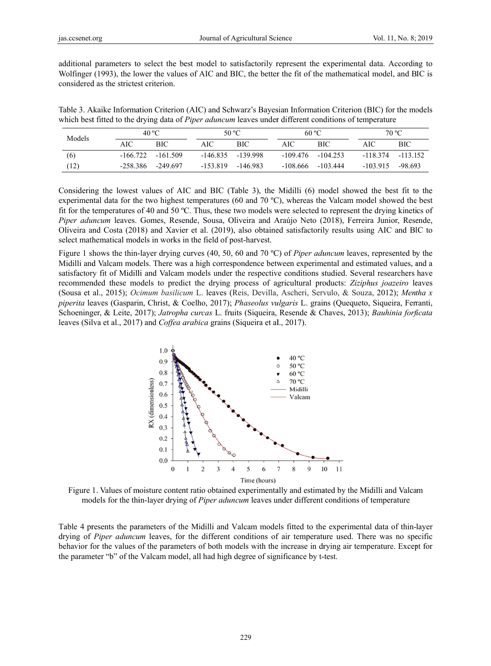additional parameters to select the best model to satisfactorily represent the experimental data. According to Wolfinger (1993), the lower the values of AIC and BIC, the better the fit of the mathematical model, and BIC is considered as the strictest criterion.

Table 3. Akaike Information Criterion (AIC) and Schwarz's Bayesian Information Criterion (BIC) for the models which best fitted to the drying data of *Piper aduncum* leaves under different conditions of temperature

| Models |          | 40 °C                |            | 50 °C               |     | 60 °C                |           | 70 °C      |  |
|--------|----------|----------------------|------------|---------------------|-----|----------------------|-----------|------------|--|
|        | AIC      | BIC                  | AIC        | <b>BIC</b>          | AIC | <b>BIC</b>           | AIC       | <b>BIC</b> |  |
| (6)    |          | $-166.722 - 161.509$ |            | $-146.835 -139.998$ |     | $-109.476 - 104.253$ | -118.374  | $-113152$  |  |
| (12)   | -258.386 | -249.697             | $-153.819$ | -146.983            |     | $-108.666 - 103.444$ | $-103915$ | -98.693    |  |

Considering the lowest values of AIC and BIC (Table 3), the Midilli (6) model showed the best fit to the experimental data for the two highest temperatures (60 and 70  $^{\circ}$ C), whereas the Valcam model showed the best fit for the temperatures of 40 and 50 °C. Thus, these two models were selected to represent the drying kinetics of Piper aduncum leaves. Gomes, Resende, Sousa, Oliveira and Araújo Neto (2018), Ferreira Junior, Resende, Oliveira and Costa (2018) and Xavier et al. (2019), also obtained satisfactorily results using AIC and BIC to select mathematical models in works in the field of post-harvest.

Figure 1 shows the thin-layer drying curves (40, 50, 60 and 70 °C) of *Piper aduncum* leaves, represented by the Midilli and Valcam models. There was a high correspondence between experimental and estimated values, and a satisfactory fit of Midilli and Valcam models under the respective conditions studied. Several researchers have recommended these models to predict the drying process of agricultural products: Ziziphus joazeiro leaves (Sousa et al., 2015); Ocimum basilicum L. leaves (Reis, Devilla, Ascheri, Servulo, & Souza, 2012); Mentha x *piperita* leaves (Gasparin, Christ, & Coelho, 2017); *Phaseolus vulgaris* L. grains (Quequeto, Siqueira, Ferranti, Schoeninger, & Leite, 2017); Jatropha curcas L. fruits (Siqueira, Resende & Chaves, 2013); Bauhinia forficata leaves (Silva et al., 2017) and Coffea arabica grains (Siqueira et al., 2017).



Figure 1. Values of moisture content ratio obtained experimentally and estimated by the Midilli and Valcam models for the thin-layer drying of *Piper aduncum* leaves under different conditions of temperature

Table 4 presents the parameters of the Midilli and Valcam models fitted to the experimental data of thin-layer drying of *Piper aduncum* leaves, for the different conditions of air temperature used. There was no specific behavior for the values of the parameters of both models with the increase in drying air temperature. Except for the parameter "b" of the Valcam model, all had high degree of significance by t-test.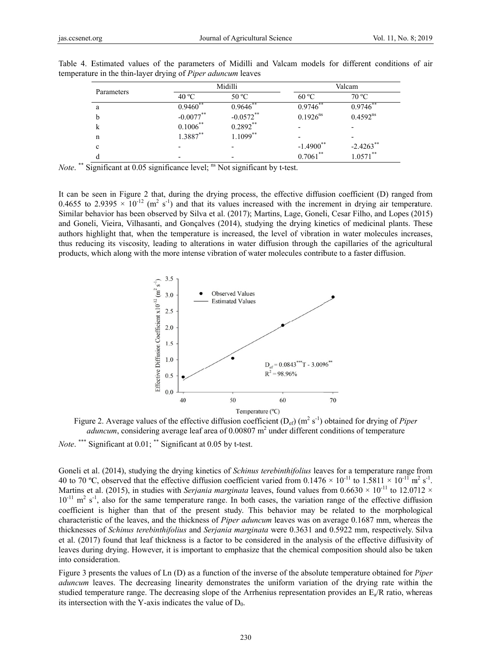| Parameters |              | Midilli      | Valcam                   |               |  |
|------------|--------------|--------------|--------------------------|---------------|--|
|            | 40 °C        | 50 °C        | 60 °C                    | 70 °C         |  |
| a          | $0.9460$ **  | $0.9646$ **  | $0.9746^{**}$            | $0.9746$ **   |  |
| b          | $-0.0077***$ | $-0.0572$ ** | $0.1926^{ns}$            | $0.4592^{ns}$ |  |
| k          | $0.1006***$  | $0.2892**$   |                          |               |  |
| n          | $1.3887**$   | $1.1099**$   | $\overline{\phantom{0}}$ |               |  |
| c          |              |              | $-1.4900$ **             | $-2.4263$ **  |  |
|            |              | -            | $0.7061***$              | $1.0571***$   |  |

Table 4. Estimated values of the parameters of Midilli and Valcam models for different conditions of air temperature in the thin-layer drying of Piper aduncum leaves

*Note.*<sup>\*\*</sup> Significant at 0.05 significance level; <sup>ns</sup> Not significant by t-test.

It can be seen in Figure 2 that, during the drying process, the effective diffusion coefficient (D) ranged from 0.4655 to 2.9395  $\times$  10<sup>-12</sup> (m<sup>2</sup> s<sup>-1</sup>) and that its values increased with the increment in drying air temperature. Similar behavior has been observed by Silva et al. (2017); Martins, Lage, Goneli, Cesar Filho, and Lopes (2015) and Goneli, Vieira, Vilhasanti, and Gonealves (2014), studying the drying kinetics of medicinal plants. These authors highlight that, when the temperature is increased, the level of vibration in water molecules increases. thus reducing its viscosity, leading to alterations in water diffusion through the capillaries of the agricultural products, which along with the more intense vibration of water molecules contribute to a faster diffusion.



Figure 2. Average values of the effective diffusion coefficient  $(D_{ef})$  (m<sup>2</sup> s<sup>-1</sup>) obtained for drying of *Piper aduncum*, considering average leaf area of  $0.00807$  m<sup>2</sup> under different conditions of temperature

*Note.* \*\*\* Significant at 0.01; \*\* Significant at 0.05 by t-test.

Goneli et al. (2014), studying the drying kinetics of *Schinus terebinthifolius* leaves for a temperature range from 40 to 70 °C, observed that the effective diffusion coefficient varied from  $0.1476 \times 10^{-11}$  to  $1.5811 \times 10^{-11}$  m<sup>2</sup> s<sup>-1</sup>. Martins et al. (2015), in studies with Serjania marginata leaves, found values from  $0.6630 \times 10^{-11}$  to 12.0712  $\times$  $10^{-11}$  m<sup>2</sup> s<sup>-1</sup>, also for the same temperature range. In both cases, the variation range of the effective diffusion coefficient is higher than that of the present study. This behavior may be related to the morphological characteristic of the leaves, and the thickness of *Piper aduncum* leaves was on average 0.1687 mm, whereas the thicknesses of *Schinus terebinthifolius* and *Serjania marginata* were 0.3631 and 0.5922 mm, respectively. Silva et al. (2017) found that leaf thickness is a factor to be considered in the analysis of the effective diffusivity of leaves during drying. However, it is important to emphasize that the chemical composition should also be taken into consideration.

Figure 3 presents the values of Ln (D) as a function of the inverse of the absolute temperature obtained for *Piper* aduncum leaves. The decreasing linearity demonstrates the uniform variation of the drying rate within the studied temperature range. The decreasing slope of the Arrhenius representation provides an  $E_a/R$  ratio, whereas its intersection with the Y-axis indicates the value of  $D_0$ .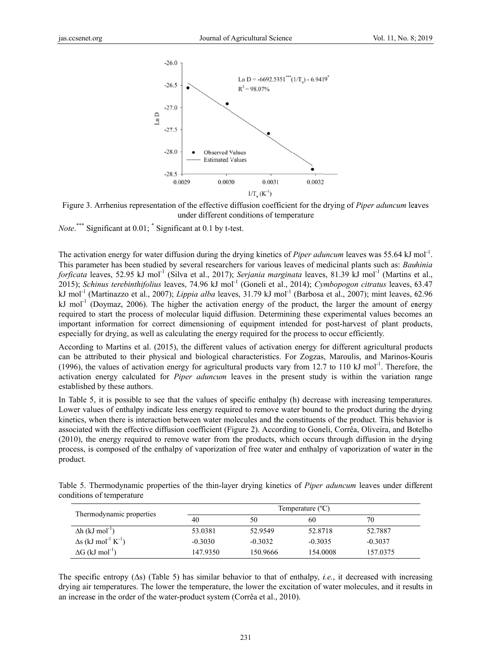



*Note.*\*\*\* Significant at  $0.01$ ;  $\degree$  Significant at 0.1 by t-test.

The activation energy for water diffusion during the drying kinetics of *Piper aduncum* leaves was 55.64 kJ mol<sup>-1</sup>. This parameter has been studied by several researchers for various leaves of medicinal plants such as: Bauhinia forficata leaves, 52.95 kJ mol<sup>-1</sup> (Silva et al., 2017); Serjania marginata leaves, 81.39 kJ mol<sup>-1</sup> (Martins et al., 2015); Schinus terebinthifolius leaves, 74.96 kJ mol<sup>-1</sup> (Goneli et al., 2014); Cymbopogon citratus leaves, 63.47 kJ mol<sup>-1</sup> (Martinazzo et al., 2007); *Lippia alba* leaves, 31.79 kJ mol<sup>-1</sup> (Barbosa et al., 2007); mint leaves, 62.96 kJ mol<sup>-1</sup> (Doymaz, 2006). The higher the activation energy of the product, the larger the amount of energy required to start the process of molecular liquid diffusion. Determining these experimental values becomes an important information for correct dimensioning of equipment intended for post-harvest of plant products, especially for drying, as well as calculating the energy required for the process to occur efficiently.

According to Martins et al. (2015), the different values of activation energy for different agricultural products can be attributed to their physical and biological characteristics. For Zogzas, Maroulis, and Marinos-Kouris (1996), the values of activation energy for agricultural products vary from 12.7 to 110 kJ mol<sup>-1</sup>. Therefore, the activation energy calculated for *Piper aduncum* leaves in the present study is within the variation range established by these authors.

In Table 5, it is possible to see that the values of specific enthalpy (h) decrease with increasing temperatures. Lower values of enthalpy indicate less energy required to remove water bound to the product during the drying kinetics, when there is interaction between water molecules and the constituents of the product. This behavior is associated with the effective diffusion coefficient (Figure 2). According to Goneli, Corrêa, Oliveira, and Botelho (2010), the energy required to remove water from the products, which occurs through diffusion in the drying process, is composed of the enthalpy of vaporization of free water and enthalpy of vaporization of water in the product.

Table 5. Thermodynamic properties of the thin-layer drying kinetics of *Piper aduncum* leaves under different conditions of temperature

| Thermodynamic properties                           | Temperature $(^{\circ}C)$ |           |           |           |  |  |
|----------------------------------------------------|---------------------------|-----------|-----------|-----------|--|--|
|                                                    | 40                        | 50        | 60        | 70        |  |  |
| $\Delta h$ (kJ mol <sup>-1</sup> )                 | 53.0381                   | 52.9549   | 52.8718   | 52.7887   |  |  |
| $\Delta s$ (kJ mol <sup>-1</sup> K <sup>-1</sup> ) | $-0.3030$                 | $-0.3032$ | $-0.3035$ | $-0.3037$ |  |  |
| $\Delta G$ (kJ mol <sup>-1</sup> )                 | 147.9350                  | 150.9666  | 154.0008  | 157.0375  |  |  |

The specific entropy ( $\Delta s$ ) (Table 5) has similar behavior to that of enthalpy, *i.e.*, it decreased with increasing drying air temperatures. The lower the temperature, the lower the excitation of water molecules, and it results in an increase in the order of the water-product system (Corrêa et al., 2010).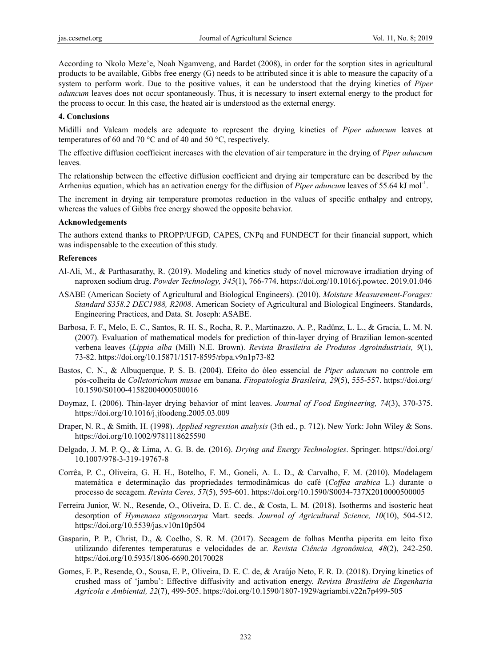According to Nkolo Meze'e, Noah Ngamveng, and Bardet (2008), in order for the sorption sites in agricultural products to be available, Gibbs free energy (G) needs to be attributed since it is able to measure the capacity of a system to perform work. Due to the positive values, it can be understood that the drying kinetics of *Piper aduncum* leaves does not occur spontaneously. Thus, it is necessary to insert external energy to the product for the process to occur. In this case, the heated air is understood as the external energy.

#### **4. Conclusions**

Midilli and Valcam models are adequate to represent the drying kinetics of *Piper aduncum* leaves at temperatures of 60 and 70 °C and of 40 and 50 °C, respectively.

The effective diffusion coefficient increases with the elevation of air temperature in the drying of *Piper aduncum* leaves.

The relationship between the effective diffusion coefficient and drying air temperature can be described by the Arrhenius equation, which has an activation energy for the diffusion of *Piper aduncum* leaves of 55.64 kJ mol<sup>-1</sup>.

The increment in drying air temperature promotes reduction in the values of specific enthalpy and entropy, whereas the values of Gibbs free energy showed the opposite behavior.

#### **Acknowledgements**

The authors extend thanks to PROPP/UFGD, CAPES, CNPq and FUNDECT for their financial support, which was indispensable to the execution of this study.

#### **References**

- Al-Ali, M., & Parthasarathy, R. (2019). Modeling and kinetics study of novel microwave irradiation drying of naproxen sodium drug. *Powder Technology, 345*(1), 766-774. https://doi.org/10.1016/j.powtec. 2019.01.046
- ASABE (American Society of Agricultural and Biological Engineers). (2010). *Moisture Measurement-Forages: Standard S358.2 DEC1988, R2008*. American Society of Agricultural and Biological Engineers. Standards, Engineering Practices, and Data. St. Joseph: ASABE.
- Barbosa, F. F., Melo, E. C., Santos, R. H. S., Rocha, R. P., Martinazzo, A. P., Radünz, L. L., & Gracia, L. M. N. (2007). Evaluation of mathematical models for prediction of thin-layer drying of Brazilian lemon-scented verbena leaves (*Lippia alba* (Mill) N.E. Brown). *Revista Brasileira de Produtos Agroindustriais, 9*(1), 73-82. https://doi.org/10.15871/1517-8595/rbpa.v9n1p73-82
- Bastos, C. N., & Albuquerque, P. S. B. (2004). Efeito do óleo essencial de *Piper aduncum* no controle em pós-colheita de *Colletotrichum musae* em banana. *Fitopatologia Brasileira, 29*(5), 555-557. https://doi.org/ 10.1590/S0100-41582004000500016
- Doymaz, I. (2006). Thin-layer drying behavior of mint leaves. *Journal of Food Engineering, 74*(3), 370-375. https://doi.org/10.1016/j.jfoodeng.2005.03.009
- Draper, N. R., & Smith, H. (1998). *Applied regression analysis* (3th ed., p. 712). New York: John Wiley & Sons. https://doi.org/10.1002/9781118625590
- Delgado, J. M. P. Q., & Lima, A. G. B. de. (2016). *Drying and Energy Technologies*. Springer. https://doi.org/ 10.1007/978-3-319-19767-8
- Corrêa, P. C., Oliveira, G. H. H., Botelho, F. M., Goneli, A. L. D., & Carvalho, F. M. (2010). Modelagem matemática e determinação das propriedades termodinâmicas do café (*Coffea arabica* L.) durante o processo de secagem. *Revista Ceres, 57*(5), 595-601. https://doi.org/10.1590/S0034-737X2010000500005
- Ferreira Junior, W. N., Resende, O., Oliveira, D. E. C. de., & Costa, L. M. (2018). Isotherms and isosteric heat desorption of *Hymenaea stigonocarpa* Mart. seeds. *Journal of Agricultural Science, 10*(10), 504-512. https://doi.org/10.5539/jas.v10n10p504
- Gasparin, P. P., Christ, D., & Coelho, S. R. M. (2017). Secagem de folhas Mentha piperita em leito fixo utilizando diferentes temperaturas e velocidades de ar. *Revista Ciência Agronômica, 48*(2), 242-250. https://doi.org/10.5935/1806-6690.20170028
- Gomes, F. P., Resende, O., Sousa, E. P., Oliveira, D. E. C. de, & Araújo Neto, F. R. D. (2018). Drying kinetics of crushed mass of 'jambu': Effective diffusivity and activation energy. *Revista Brasileira de Engenharia Agrícola e Ambiental, 22*(7), 499-505. https://doi.org/10.1590/1807-1929/agriambi.v22n7p499-505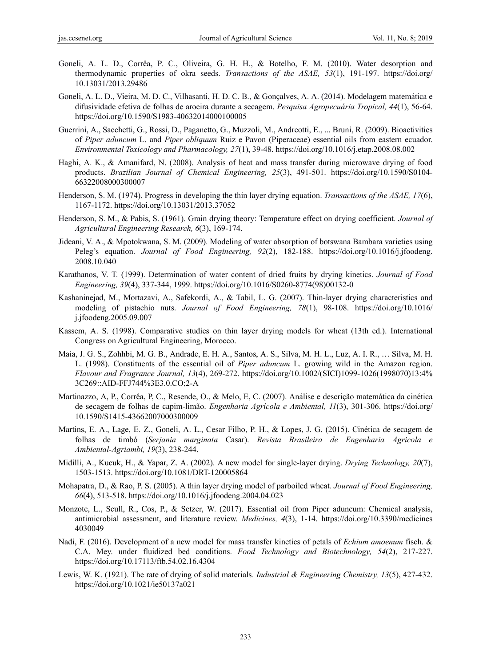- Goneli, A. L. D., Corrêa, P. C., Oliveira, G. H. H., & Botelho, F. M. (2010). Water desorption and thermodynamic properties of okra seeds. *Transactions of the ASAE, 53*(1), 191-197. https://doi.org/ 10.13031/2013.29486
- Goneli, A. L. D., Vieira, M. D. C., Vilhasanti, H. D. C. B., & Gonçalves, A. A. (2014). Modelagem matemática e difusividade efetiva de folhas de aroeira durante a secagem. *Pesquisa Agropecuária Tropical, 44*(1), 56-64. https://doi.org/10.1590/S1983-40632014000100005
- Guerrini, A., Sacchetti, G., Rossi, D., Paganetto, G., Muzzoli, M., Andreotti, E., ... Bruni, R. (2009). Bioactivities of *Piper aduncum* L. and *Piper obliquum* Ruiz e Pavon (Piperaceae) essential oils from eastern ecuador. *Environmental Toxicology and Pharmacology, 27*(1), 39-48. https://doi.org/10.1016/j.etap.2008.08.002
- Haghi, A. K., & Amanifard, N. (2008). Analysis of heat and mass transfer during microwave drying of food products. *Brazilian Journal of Chemical Engineering, 25*(3), 491-501. https://doi.org/10.1590/S0104- 66322008000300007
- Henderson, S. M. (1974). Progress in developing the thin layer drying equation. *Transactions of the ASAE, 17*(6), 1167-1172. https://doi.org/10.13031/2013.37052
- Henderson, S. M., & Pabis, S. (1961). Grain drying theory: Temperature effect on drying coefficient. *Journal of Agricultural Engineering Research, 6*(3), 169-174.
- Jideani, V. A., & Mpotokwana, S. M. (2009). Modeling of water absorption of botswana Bambara varieties using Peleg's equation. *Journal of Food Engineering, 92*(2), 182-188. https://doi.org/10.1016/j.jfoodeng. 2008.10.040
- Karathanos, V. T. (1999). Determination of water content of dried fruits by drying kinetics. *Journal of Food Engineering, 39*(4), 337-344, 1999. https://doi.org/10.1016/S0260-8774(98)00132-0
- Kashaninejad, M., Mortazavi, A., Safekordi, A., & Tabil, L. G. (2007). Thin-layer drying characteristics and modeling of pistachio nuts. *Journal of Food Engineering, 78*(1), 98-108. https://doi.org/10.1016/ j.jfoodeng.2005.09.007
- Kassem, A. S. (1998). Comparative studies on thin layer drying models for wheat (13th ed.). International Congress on Agricultural Engineering, Morocco.
- Maia, J. G. S., Zohhbi, M. G. B., Andrade, E. H. A., Santos, A. S., Silva, M. H. L., Luz, A. I. R., … Silva, M. H. L. (1998). Constituents of the essential oil of *Piper aduncum* L. growing wild in the Amazon region. *Flavour and Fragrance Journal, 13*(4), 269-272. https://doi.org/10.1002/(SICI)1099-1026(1998070)13:4% 3C269::AID-FFJ744%3E3.0.CO;2-A
- Martinazzo, A, P., Corrêa, P, C., Resende, O., & Melo, E, C. (2007). Análise e descrição matemática da cinética de secagem de folhas de capim-limão. *Engenharia Agrícola e Ambiental, 11*(3), 301-306. https://doi.org/ 10.1590/S1415-43662007000300009
- Martins, E. A., Lage, E. Z., Goneli, A. L., Cesar Filho, P. H., & Lopes, J. G. (2015). Cinética de secagem de folhas de timbó (*Serjania marginata* Casar). *Revista Brasileira de Engenharia Agricola e Ambiental-Agriambi, 19*(3), 238-244.
- Midilli, A., Kucuk, H., & Yapar, Z. A. (2002). A new model for single-layer drying. *Drying Technology, 20*(7), 1503-1513. https://doi.org/10.1081/DRT-120005864
- Mohapatra, D., & Rao, P. S. (2005). A thin layer drying model of parboiled wheat. *Journal of Food Engineering, 66*(4), 513-518. https://doi.org/10.1016/j.jfoodeng.2004.04.023
- Monzote, L., Scull, R., Cos, P., & Setzer, W. (2017). Essential oil from Piper aduncum: Chemical analysis, antimicrobial assessment, and literature review. *Medicines, 4*(3), 1-14. https://doi.org/10.3390/medicines 4030049
- Nadi, F. (2016). Development of a new model for mass transfer kinetics of petals of *Echium amoenum* fisch. & C.A. Mey. under fluidized bed conditions. *Food Technology and Biotechnology, 54*(2), 217-227. https://doi.org/10.17113/ftb.54.02.16.4304
- Lewis, W. K. (1921). The rate of drying of solid materials. *Industrial & Engineering Chemistry, 13*(5), 427-432. https://doi.org/10.1021/ie50137a021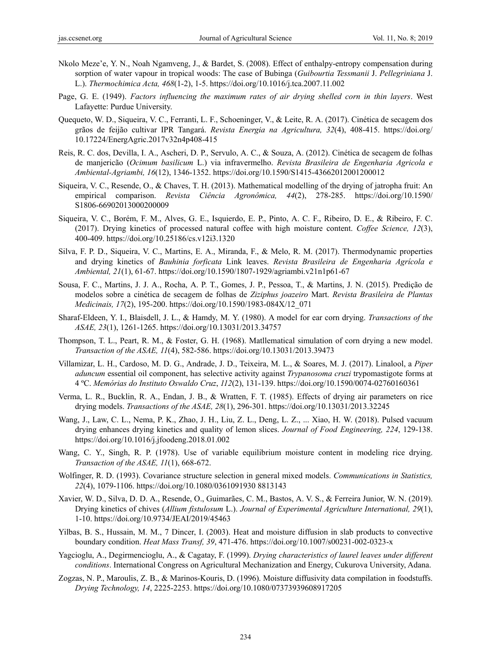- Nkolo Meze'e, Y. N., Noah Ngamveng, J., & Bardet, S. (2008). Effect of enthalpy-entropy compensation during sorption of water vapour in tropical woods: The case of Bubinga (*Guibourtia Tessmanii* J. *Pellegriniana* J. L.). *Thermochimica Acta, 468*(1-2), 1-5. https://doi.org/10.1016/j.tca.2007.11.002
- Page, G. E. (1949). *Factors influencing the maximum rates of air drying shelled corn in thin layers*. West Lafayette: Purdue University.
- Quequeto, W. D., Siqueira, V. C., Ferranti, L. F., Schoeninger, V., & Leite, R. A. (2017). Cinética de secagem dos grãos de feijão cultivar IPR Tangará. *Revista Energia na Agricultura, 32*(4), 408-415. https://doi.org/ 10.17224/EnergAgric.2017v32n4p408-415
- Reis, R. C. dos, Devilla, I. A., Ascheri, D. P., Servulo, A. C., & Souza, A. (2012). Cinética de secagem de folhas de manjericão (*Ocimum basilicum* L.) via infravermelho. *Revista Brasileira de Engenharia Agricola e Ambiental-Agriambi, 16*(12), 1346-1352. https://doi.org/10.1590/S1415-43662012001200012
- Siqueira, V. C., Resende, O., & Chaves, T. H. (2013). Mathematical modelling of the drying of jatropha fruit: An empirical comparison. *Revista Ciência Agronômica, 44*(2), 278-285. https://doi.org/10.1590/ S1806-66902013000200009
- Siqueira, V. C., Borém, F. M., Alves, G. E., Isquierdo, E. P., Pinto, A. C. F., Ribeiro, D. E., & Ribeiro, F. C. (2017). Drying kinetics of processed natural coffee with high moisture content. *Coffee Science, 12*(3), 400-409. https://doi.org/10.25186/cs.v12i3.1320
- Silva, F. P. D., Siqueira, V. C., Martins, E. A., Miranda, F., & Melo, R. M. (2017). Thermodynamic properties and drying kinetics of *Bauhinia forficata* Link leaves. *Revista Brasileira de Engenharia Agrícola e Ambiental, 21*(1), 61-67. https://doi.org/10.1590/1807-1929/agriambi.v21n1p61-67
- Sousa, F. C., Martins, J. J. A., Rocha, A. P. T., Gomes, J. P., Pessoa, T., & Martins, J. N. (2015). Predição de modelos sobre a cinética de secagem de folhas de *Ziziphus joazeiro* Mart. *Revista Brasileira de Plantas Medicinais, 17*(2), 195-200. https://doi.org/10.1590/1983-084X/12\_071
- Sharaf-Eldeen, Y. I., Blaisdell, J. L., & Hamdy, M. Y. (1980). A model for ear corn drying. *Transactions of the ASAE, 23*(1), 1261-1265. https://doi.org/10.13031/2013.34757
- Thompson, T. L., Peart, R. M., & Foster, G. H. (1968). Matllematical simulation of corn drying a new model. *Transaction of the ASAE, 11*(4), 582-586. https://doi.org/10.13031/2013.39473
- Villamizar, L. H., Cardoso, M. D. G., Andrade, J. D., Teixeira, M. L., & Soares, M. J. (2017). Linalool, a *Piper aduncum* essential oil component, has selective activity against *Trypanosoma cruzi* trypomastigote forms at 4 ºC. *Memórias do Instituto Oswaldo Cruz*, *112*(2), 131-139. https://doi.org/10.1590/0074-02760160361
- Verma, L. R., Bucklin, R. A., Endan, J. B., & Wratten, F. T. (1985). Effects of drying air parameters on rice drying models. *Transactions of the ASAE, 28*(1), 296-301. https://doi.org/10.13031/2013.32245
- Wang, J., Law, C. L., Nema, P. K., Zhao, J. H., Liu, Z. L., Deng, L. Z., ... Xiao, H. W. (2018). Pulsed vacuum drying enhances drying kinetics and quality of lemon slices. *Journal of Food Engineering, 224*, 129-138. https://doi.org/10.1016/j.jfoodeng.2018.01.002
- Wang, C. Y., Singh, R. P. (1978). Use of variable equilibrium moisture content in modeling rice drying. *Transaction of the ASAE, 11*(1), 668-672.
- Wolfinger, R. D. (1993). Covariance structure selection in general mixed models. *Communications in Statistics, 22*(4), 1079-1106. https://doi.org/10.1080/0361091930 8813143
- Xavier, W. D., Silva, D. D. A., Resende, O., Guimarães, C. M., Bastos, A. V. S., & Ferreira Junior, W. N. (2019). Drying kinetics of chives (*Allium fistulosum* L.). *Journal of Experimental Agriculture International, 29*(1), 1-10. https://doi.org/10.9734/JEAI/2019/45463
- Yilbas, B. S., Hussain, M. M., 7 Dincer, I. (2003). Heat and moisture diffusion in slab products to convective boundary condition. *Heat Mass Transf, 39*, 471-476. https://doi.org/10.1007/s00231-002-0323-x
- Yagcioglu, A., Degirmencioglu, A., & Cagatay, F. (1999). *Drying characteristics of laurel leaves under different conditions*. International Congress on Agricultural Mechanization and Energy, Cukurova University, Adana.
- Zogzas, N. P., Maroulis, Z. B., & Marinos-Kouris, D. (1996). Moisture diffusivity data compilation in foodstuffs. *Drying Technology, 14*, 2225-2253. https://doi.org/10.1080/07373939608917205